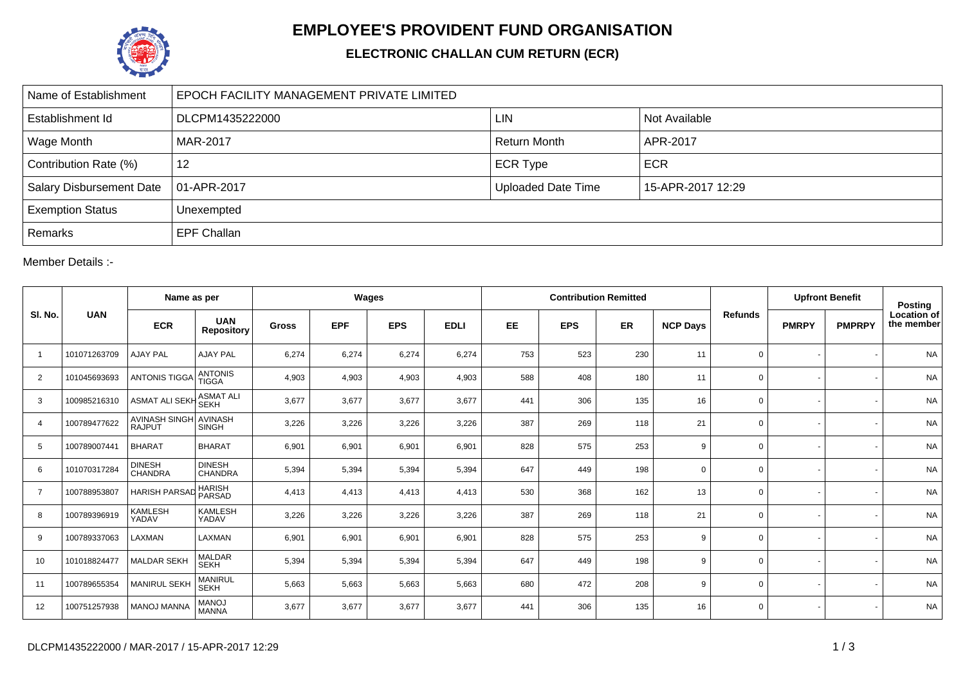

## **EMPLOYEE'S PROVIDENT FUND ORGANISATION**

## **ELECTRONIC CHALLAN CUM RETURN (ECR)**

| Name of Establishment           | EPOCH FACILITY MANAGEMENT PRIVATE LIMITED |                           |                   |  |  |  |  |  |  |  |
|---------------------------------|-------------------------------------------|---------------------------|-------------------|--|--|--|--|--|--|--|
| Establishment Id                | DLCPM1435222000                           | <b>LIN</b>                | Not Available     |  |  |  |  |  |  |  |
| Wage Month                      | MAR-2017                                  | <b>Return Month</b>       | APR-2017          |  |  |  |  |  |  |  |
| Contribution Rate (%)           | 12                                        | <b>ECR Type</b>           | <b>ECR</b>        |  |  |  |  |  |  |  |
| <b>Salary Disbursement Date</b> | $ 01-APR-2017 $                           | <b>Uploaded Date Time</b> | 15-APR-2017 12:29 |  |  |  |  |  |  |  |
| <b>Exemption Status</b>         | Unexempted                                |                           |                   |  |  |  |  |  |  |  |
| Remarks                         | <b>EPF Challan</b>                        |                           |                   |  |  |  |  |  |  |  |

Member Details :-

|                | <b>UAN</b>   | Name as per                           |                                 | Wages        |            |            |             |           | <b>Contribution Remitted</b> |     |                 | <b>Upfront Benefit</b> |              | <b>Posting</b> |                                  |
|----------------|--------------|---------------------------------------|---------------------------------|--------------|------------|------------|-------------|-----------|------------------------------|-----|-----------------|------------------------|--------------|----------------|----------------------------------|
| SI. No.        |              | <b>ECR</b>                            | <b>UAN</b><br><b>Repository</b> | <b>Gross</b> | <b>EPF</b> | <b>EPS</b> | <b>EDLI</b> | <b>EE</b> | <b>EPS</b>                   | ER  | <b>NCP Days</b> | <b>Refunds</b>         | <b>PMRPY</b> | <b>PMPRPY</b>  | <b>Location of</b><br>the member |
| $\overline{1}$ | 101071263709 | <b>AJAY PAL</b>                       | <b>AJAY PAL</b>                 | 6,274        | 6,274      | 6,274      | 6,274       | 753       | 523                          | 230 | 11              | $\mathbf 0$            |              |                | <b>NA</b>                        |
| $\overline{2}$ | 101045693693 | <b>ANTONIS TIGGA</b>                  | <b>ANTONIS</b><br><b>TIGGA</b>  | 4,903        | 4,903      | 4,903      | 4,903       | 588       | 408                          | 180 | 11              | $\mathbf 0$            |              |                | <b>NA</b>                        |
| 3              | 100985216310 | <b>ASMAT ALI SEKH</b>                 | I ASMAT ALI<br>I SEKH           | 3,677        | 3,677      | 3,677      | 3,677       | 441       | 306                          | 135 | 16              | $\mathbf 0$            |              |                | <b>NA</b>                        |
| $\overline{4}$ | 100789477622 | <b>AVINASH SINGH</b><br><b>RAJPUT</b> | <b>AVINASH</b><br><b>SINGH</b>  | 3,226        | 3,226      | 3,226      | 3,226       | 387       | 269                          | 118 | 21              | $\mathbf 0$            |              |                | <b>NA</b>                        |
| 5              | 100789007441 | <b>BHARAT</b>                         | <b>BHARAT</b>                   | 6,901        | 6,901      | 6,901      | 6,901       | 828       | 575                          | 253 | 9               | $\mathbf 0$            |              |                | <b>NA</b>                        |
| 6              | 101070317284 | <b>DINESH</b><br><b>CHANDRA</b>       | <b>DINESH</b><br><b>CHANDRA</b> | 5,394        | 5,394      | 5,394      | 5,394       | 647       | 449                          | 198 | $\mathbf 0$     | $\mathbf 0$            |              |                | <b>NA</b>                        |
| $\overline{7}$ | 100788953807 | <b>HARISH PARSAD</b>                  | <b>HARISH</b><br>PARSAD         | 4,413        | 4,413      | 4,413      | 4,413       | 530       | 368                          | 162 | 13              | 0                      |              |                | <b>NA</b>                        |
| 8              | 100789396919 | <b>KAMLESH</b><br>YADAV               | <b>KAMLESH</b><br>YADAV         | 3,226        | 3,226      | 3,226      | 3,226       | 387       | 269                          | 118 | 21              | $\mathbf 0$            |              |                | <b>NA</b>                        |
| 9              | 100789337063 | LAXMAN                                | LAXMAN                          | 6,901        | 6,901      | 6,901      | 6,901       | 828       | 575                          | 253 | 9               | $\mathbf 0$            |              |                | <b>NA</b>                        |
| 10             | 101018824477 | <b>MALDAR SEKH</b>                    | MALDAR<br><b>SEKH</b>           | 5,394        | 5,394      | 5,394      | 5,394       | 647       | 449                          | 198 | 9               | $\mathbf 0$            |              |                | <b>NA</b>                        |
| 11             | 100789655354 | <b>MANIRUL SEKH</b>                   | <b>MANIRUL</b><br><b>SEKH</b>   | 5,663        | 5,663      | 5,663      | 5,663       | 680       | 472                          | 208 | 9               | $\mathbf 0$            |              |                | <b>NA</b>                        |
| 12             | 100751257938 | <b>MANOJ MANNA</b>                    | <b>MANOJ</b><br><b>MANNA</b>    | 3,677        | 3,677      | 3,677      | 3,677       | 441       | 306                          | 135 | 16              | $\mathbf 0$            |              |                | <b>NA</b>                        |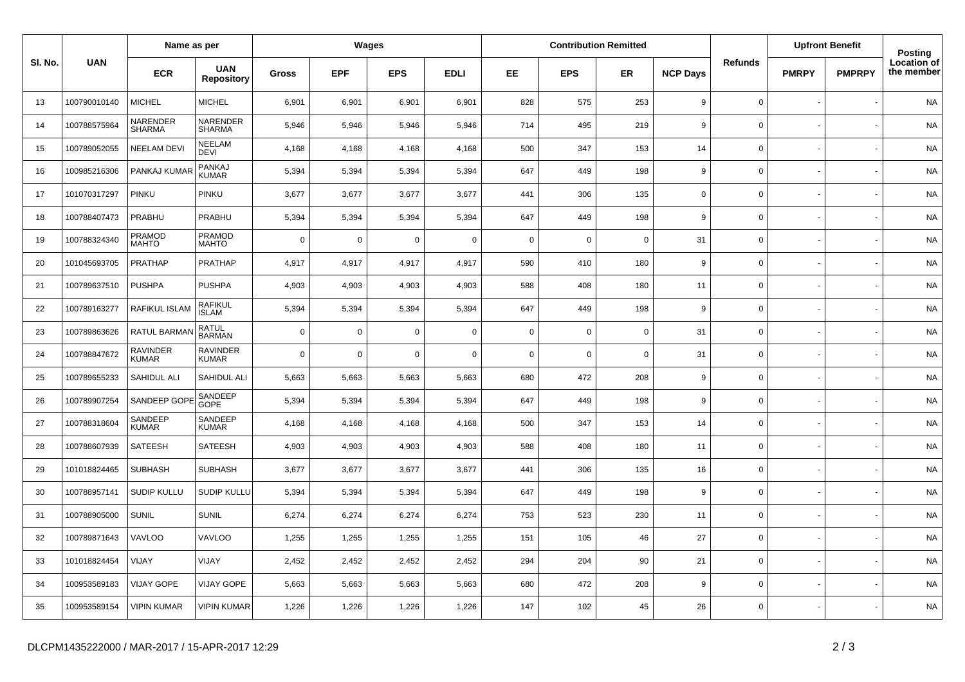|         | <b>UAN</b>   | Name as per                     |                                 | Wages        |             |             |             |             |             | <b>Contribution Remitted</b> |                 |                     | <b>Upfront Benefit</b> |               | Posting                   |
|---------|--------------|---------------------------------|---------------------------------|--------------|-------------|-------------|-------------|-------------|-------------|------------------------------|-----------------|---------------------|------------------------|---------------|---------------------------|
| SI. No. |              | <b>ECR</b>                      | <b>UAN</b><br><b>Repository</b> | <b>Gross</b> | <b>EPF</b>  | <b>EPS</b>  | <b>EDLI</b> | EE          | <b>EPS</b>  | <b>ER</b>                    | <b>NCP Days</b> | <b>Refunds</b>      | <b>PMRPY</b>           | <b>PMPRPY</b> | Location of<br>the member |
| 13      | 100790010140 | <b>MICHEL</b>                   | <b>MICHEL</b>                   | 6,901        | 6,901       | 6,901       | 6,901       | 828         | 575         | 253                          | 9               | $\mathbf 0$         |                        |               | <b>NA</b>                 |
| 14      | 100788575964 | NARENDER<br><b>SHARMA</b>       | NARENDER<br><b>SHARMA</b>       | 5,946        | 5,946       | 5,946       | 5,946       | 714         | 495         | 219                          | 9               | $\mathsf{O}\xspace$ |                        |               | <b>NA</b>                 |
| 15      | 100789052055 | <b>NEELAM DEVI</b>              | NEELAM<br>DEVI                  | 4,168        | 4,168       | 4,168       | 4,168       | 500         | 347         | 153                          | 14              | $\mathbf 0$         |                        |               | <b>NA</b>                 |
| 16      | 100985216306 | PANKAJ KUMAF                    | PANKAJ<br>KUMAR                 | 5,394        | 5,394       | 5,394       | 5,394       | 647         | 449         | 198                          | 9               | $\mathsf{O}\xspace$ |                        |               | <b>NA</b>                 |
| 17      | 101070317297 | PINKU                           | PINKU                           | 3,677        | 3,677       | 3,677       | 3,677       | 441         | 306         | 135                          | $\mathbf 0$     | $\mathbf 0$         |                        |               | <b>NA</b>                 |
| 18      | 100788407473 | PRABHU                          | PRABHU                          | 5,394        | 5,394       | 5,394       | 5,394       | 647         | 449         | 198                          | 9               | $\mathsf 0$         |                        |               | <b>NA</b>                 |
| 19      | 100788324340 | PRAMOD<br>MAHTO                 | PRAMOD<br>MAHTO                 | $\Omega$     | $\mathbf 0$ | $\mathbf 0$ | $\mathbf 0$ | $\mathbf 0$ | $\mathbf 0$ | $\overline{0}$               | 31              | $\mathbf 0$         |                        |               | <b>NA</b>                 |
| 20      | 101045693705 | <b>PRATHAP</b>                  | <b>PRATHAP</b>                  | 4,917        | 4,917       | 4,917       | 4,917       | 590         | 410         | 180                          | 9               | $\mathsf 0$         |                        |               | <b>NA</b>                 |
| 21      | 100789637510 | <b>PUSHPA</b>                   | <b>PUSHPA</b>                   | 4,903        | 4,903       | 4,903       | 4,903       | 588         | 408         | 180                          | 11              | $\mathsf 0$         |                        |               | <b>NA</b>                 |
| 22      | 100789163277 | RAFIKUL ISLAM                   | <b>RAFIKUL</b><br><b>ISLAM</b>  | 5,394        | 5,394       | 5,394       | 5,394       | 647         | 449         | 198                          | 9               | $\mathbf 0$         |                        |               | <b>NA</b>                 |
| 23      | 100789863626 | RATUL BARMAN                    | RATUL<br>BARMAN                 | $\Omega$     | $\mathbf 0$ | $\mathbf 0$ | $\Omega$    | $\mathbf 0$ | $\mathbf 0$ | $\overline{0}$               | 31              | $\mathbf 0$         |                        |               | <b>NA</b>                 |
| 24      | 100788847672 | <b>RAVINDER</b><br><b>KUMAR</b> | <b>RAVINDER</b><br><b>KUMAR</b> | $\Omega$     | $\mathbf 0$ | $\mathbf 0$ | $\Omega$    | $\mathbf 0$ | $\mathsf 0$ | $\overline{0}$               | 31              | $\mathbf 0$         |                        |               | <b>NA</b>                 |
| 25      | 100789655233 | SAHIDUL ALI                     | SAHIDUL ALI                     | 5,663        | 5,663       | 5,663       | 5,663       | 680         | 472         | 208                          | 9               | $\mathsf{O}\xspace$ |                        |               | <b>NA</b>                 |
| 26      | 100789907254 | SANDEEP GOPE                    | SANDEEP<br>GOPE                 | 5,394        | 5,394       | 5,394       | 5,394       | 647         | 449         | 198                          | 9               | $\mathbf 0$         |                        |               | NA                        |
| 27      | 100788318604 | SANDEEP<br>KUMAR                | SANDEEP<br><b>KUMAR</b>         | 4,168        | 4,168       | 4,168       | 4,168       | 500         | 347         | 153                          | 14              | $\mathbf 0$         |                        |               | <b>NA</b>                 |
| 28      | 100788607939 | <b>SATEESH</b>                  | SATEESH                         | 4,903        | 4,903       | 4,903       | 4,903       | 588         | 408         | 180                          | 11              | $\mathbf 0$         |                        |               | <b>NA</b>                 |
| 29      | 101018824465 | <b>SUBHASH</b>                  | <b>SUBHASH</b>                  | 3,677        | 3,677       | 3,677       | 3,677       | 441         | 306         | 135                          | 16              | $\mathbf 0$         |                        |               | <b>NA</b>                 |
| 30      | 100788957141 | SUDIP KULLU                     | <b>SUDIP KULLU</b>              | 5,394        | 5,394       | 5,394       | 5,394       | 647         | 449         | 198                          | 9               | $\mathbf 0$         |                        |               | <b>NA</b>                 |
| 31      | 100788905000 | <b>SUNIL</b>                    | <b>SUNIL</b>                    | 6,274        | 6,274       | 6,274       | 6,274       | 753         | 523         | 230                          | 11              | $\mathbf 0$         |                        |               | <b>NA</b>                 |
| 32      | 100789871643 | <b>VAVLOO</b>                   | VAVLOO                          | 1,255        | 1,255       | 1,255       | 1,255       | 151         | 105         | 46                           | 27              | $\mathsf{O}\xspace$ |                        |               | <b>NA</b>                 |
| 33      | 101018824454 | VIJAY                           | VIJAY                           | 2,452        | 2,452       | 2,452       | 2,452       | 294         | 204         | 90                           | 21              | $\mathsf 0$         |                        |               | <b>NA</b>                 |
| 34      | 100953589183 | <b>VIJAY GOPE</b>               | <b>VIJAY GOPE</b>               | 5,663        | 5,663       | 5,663       | 5,663       | 680         | 472         | 208                          | 9               | $\mathsf{O}\xspace$ |                        |               | <b>NA</b>                 |
| 35      | 100953589154 | <b>VIPIN KUMAR</b>              | <b>VIPIN KUMAR</b>              | 1,226        | 1,226       | 1,226       | 1,226       | 147         | 102         | 45                           | 26              | $\mathsf 0$         |                        |               | <b>NA</b>                 |